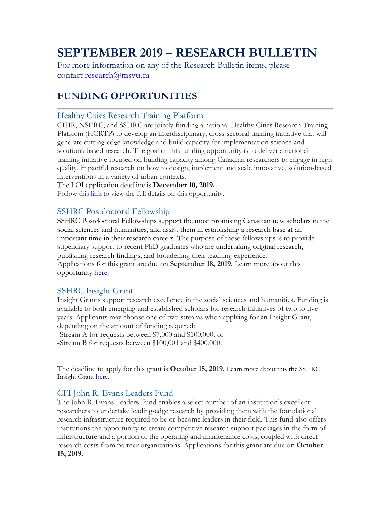# **SEPTEMBER 2019 – RESEARCH BULLETIN**

For more information on any of the Research Bulletin items, please contact research@msvu.ca

# **FUNDING OPPORTUNITIES**

### Healthy Cities Research Training Platform

CIHR, NSERC, and SSHRC are jointly funding a national Healthy Cities Research Training Platform (HCRTP) to develop an interdisciplinary, cross-sectoral training initiative that will generate cutting-edge knowledge and build capacity for implementation science and solutions-based research. The goal of this funding opportunity is to deliver a national training initiative focused on building capacity among Canadian researchers to engage in high quality, impactful research on how to design, implement and scale innovative, solution-based interventions in a variety of urban contexts.

The LOI application deadline is **December 10, 2019.**

Follow this link to view the full details on this opportunity.

### SSHRC Postdoctoral Fellowship

SSHRC Postdoctoral Fellowships support the most promising Canadian new scholars in the social sciences and humanities, and assist them in establishing a research base at an important time in their research careers. The purpose of these fellowships is to provide stipendiary support to recent PhD graduates who are undertaking original research, publishing research findings, and broadening their teaching experience. Applications for this grant are due on **September 18, 2019.** Learn more about this opportunity here.

# SSHRC Insight Grant

Insight Grants support research excellence in the social sciences and humanities. Funding is available to both emerging and established scholars for research initiatives of two to five years. Applicants may choose one of two streams when applying for an Insight Grant, depending on the amount of funding required:

-Stream A for requests between \$7,000 and \$100,000; or

-Stream B for requests between \$100,001 and \$400,000.

The deadline to apply for this grant is **October 15, 2019.** Learn more about this the SSHRC Insight Grant here.

# CFI John R. Evans Leaders Fund

The John R. Evans Leaders Fund enables a select number of an institution's excellent researchers to undertake leading-edge research by providing them with the foundational research infrastructure required to be or become leaders in their field. This fund also offers institutions the opportunity to create competitive research support packages in the form of infrastructure and a portion of the operating and maintenance costs, coupled with direct research costs from partner organizations. Applications for this grant are due on **October 15, 2019.**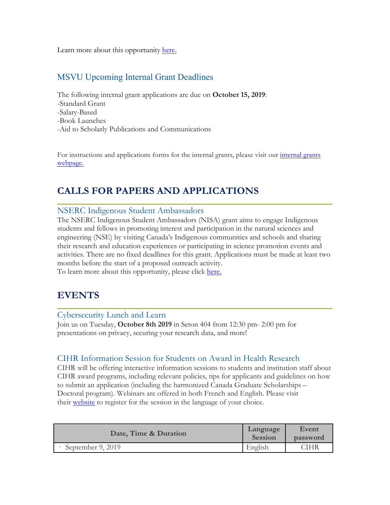Learn more about this opportunity here.

# MSVU Upcoming Internal Grant Deadlines

The following internal grant applications are due on **October 15, 2019**: -Standard Grant -Salary-Based -Book Launches -Aid to Scholarly Publications and Communications

For instructions and applications forms for the internal grants, please visit our internal grants webpage.

# **CALLS FOR PAPERS AND APPLICATIONS**

#### NSERC Indigenous Student Ambassadors

The NSERC Indigenous Student Ambassadors (NISA) grant aims to engage Indigenous students and fellows in promoting interest and participation in the natural sciences and engineering (NSE) by visiting Canada's Indigenous communities and schools and sharing their research and education experiences or participating in science promotion events and activities. There are no fixed deadlines for this grant. Applications must be made at least two months before the start of a proposed outreach activity.

To learn more about this opportunity, please click here.

# **EVENTS**

#### Cybersecurity Lunch and Learn

Join us on Tuesday, **October 8th 2019** in Seton 404 from 12:30 pm- 2:00 pm for presentations on privacy, securing your research data, and more!

#### CIHR Information Session for Students on Award in Health Research

CIHR will be offering interactive information sessions to students and institution staff about CIHR award programs, including relevant policies, tips for applicants and guidelines on how to submit an application (including the harmonized Canada Graduate Scholarships – Doctoral program). Webinars are offered in both French and English. Please visit their website to register for the session in the language of your choice.

| Date, Time & Duration | Language<br>Session | Event<br>password |
|-----------------------|---------------------|-------------------|
| September 9, 2019     | English             | THR               |